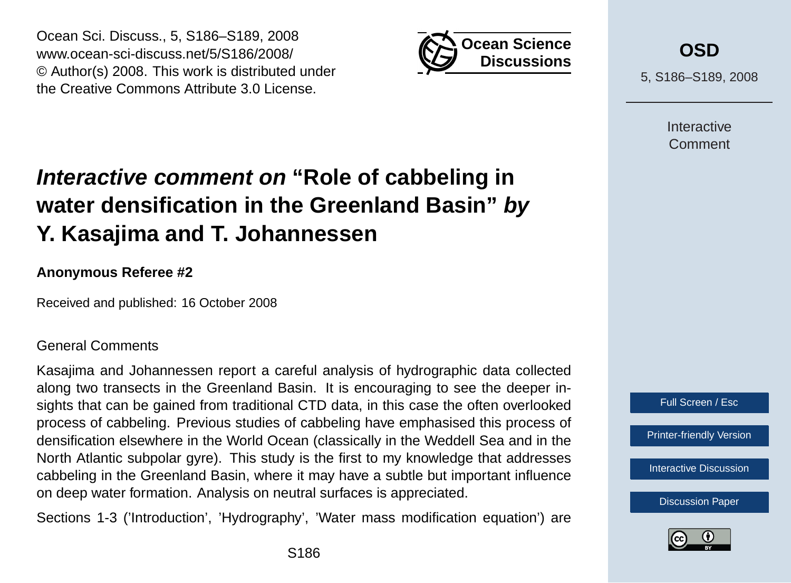

Ocean Sci. Discuss., 5, S186–S189, 2008 www.ocean-sci-discuss.net/5/S186/2008/ © Author(s) 2008. This work is distributed under the Creative Commons Attribute 3.0 License.

# **Interactive comment on "Role of cabbeling in water densification in the Greenland Basin" by Y. Kasajima and T. Johannessen**

## **Anonymous Referee #2**

Received and published: 16 October 2008

#### General Comments

Kasajima and Johannessen report a careful analysis of hydrographic data collected along two transects in the Greenland Basin. It is encouraging to see the deeper insights that can be gained from traditional CTD data, in this case the often overlooked process of cabbeling. Previous studies of cabbeling have emphasised this process of densification elsewhere in the World Ocean (classically in the Weddell Sea and in the North Atlantic subpolar gyre). This study is the first to my knowledge that addresses cabbeling in the Greenland Basin, where it may have a subtle but important influence on deep water formation. Analysis on neutral surfaces is appreciated.

Sections 1-3 ('Introduction', 'Hydrography', 'Water mass modification equation') are



5, S186–S189, 2008

**Interactive** Comment



[Printer-friendly Version](http://www.ocean-sci-discuss.net/5/S186/2008/osd-5-S186-2008-print.pdf)

[Interactive Discussion](http://www.ocean-sci-discuss.net/5/507/2008/osd-5-507-2008-discussion.html)

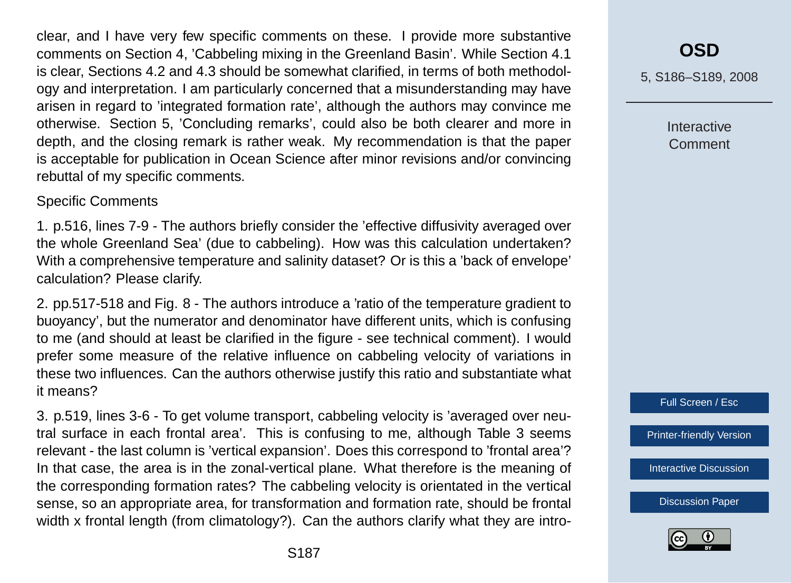clear, and I have very few specific comments on these. I provide more substantive comments on Section 4, 'Cabbeling mixing in the Greenland Basin'. While Section 4.1 is clear, Sections 4.2 and 4.3 should be somewhat clarified, in terms of both methodology and interpretation. I am particularly concerned that a misunderstanding may have arisen in regard to 'integrated formation rate', although the authors may convince me otherwise. Section 5, 'Concluding remarks', could also be both clearer and more in depth, and the closing remark is rather weak. My recommendation is that the paper is acceptable for publication in Ocean Science after minor revisions and/or convincing rebuttal of my specific comments.

#### Specific Comments

1. p.516, lines 7-9 - The authors briefly consider the 'effective diffusivity averaged over the whole Greenland Sea' (due to cabbeling). How was this calculation undertaken? With a comprehensive temperature and salinity dataset? Or is this a 'back of envelope' calculation? Please clarify.

2. pp.517-518 and Fig. 8 - The authors introduce a 'ratio of the temperature gradient to buoyancy', but the numerator and denominator have different units, which is confusing to me (and should at least be clarified in the figure - see technical comment). I would prefer some measure of the relative influence on cabbeling velocity of variations in these two influences. Can the authors otherwise justify this ratio and substantiate what it means?

3. p.519, lines 3-6 - To get volume transport, cabbeling velocity is 'averaged over neutral surface in each frontal area'. This is confusing to me, although Table 3 seems relevant - the last column is 'vertical expansion'. Does this correspond to 'frontal area'? In that case, the area is in the zonal-vertical plane. What therefore is the meaning of the corresponding formation rates? The cabbeling velocity is orientated in the vertical sense, so an appropriate area, for transformation and formation rate, should be frontal width x frontal length (from climatology?). Can the authors clarify what they are intro-

# **[OSD](http://www.ocean-sci-discuss.net)**

5, S186–S189, 2008

Interactive Comment



[Printer-friendly Version](http://www.ocean-sci-discuss.net/5/S186/2008/osd-5-S186-2008-print.pdf)

[Interactive Discussion](http://www.ocean-sci-discuss.net/5/507/2008/osd-5-507-2008-discussion.html)

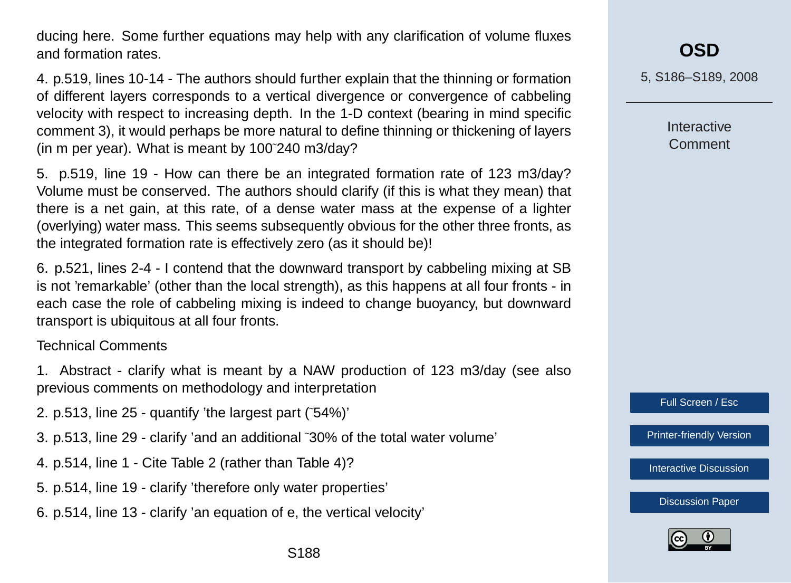ducing here. Some further equations may help with any clarification of volume fluxes and formation rates.

4. p.519, lines 10-14 - The authors should further explain that the thinning or formation of different layers corresponds to a vertical divergence or convergence of cabbeling velocity with respect to increasing depth. In the 1-D context (bearing in mind specific comment 3), it would perhaps be more natural to define thinning or thickening of layers (in m per year). What is meant by 100˜240 m3/day?

5. p.519, line 19 - How can there be an integrated formation rate of 123 m3/day? Volume must be conserved. The authors should clarify (if this is what they mean) that there is a net gain, at this rate, of a dense water mass at the expense of a lighter (overlying) water mass. This seems subsequently obvious for the other three fronts, as the integrated formation rate is effectively zero (as it should be)!

6. p.521, lines 2-4 - I contend that the downward transport by cabbeling mixing at SB is not 'remarkable' (other than the local strength), as this happens at all four fronts - in each case the role of cabbeling mixing is indeed to change buoyancy, but downward transport is ubiquitous at all four fronts.

### Technical Comments

- 1. Abstract clarify what is meant by a NAW production of 123 m3/day (see also previous comments on methodology and interpretation
- 2. p.513, line 25 quantify 'the largest part (˜54%)'
- 3. p.513, line 29 clarify 'and an additional ˜30% of the total water volume'
- 4. p.514, line 1 Cite Table 2 (rather than Table 4)?
- 5. p.514, line 19 clarify 'therefore only water properties'
- 6. p.514, line 13 clarify 'an equation of e, the vertical velocity'

5, S186–S189, 2008

**Interactive** Comment

Full Screen / Esc

[Printer-friendly Version](http://www.ocean-sci-discuss.net/5/S186/2008/osd-5-S186-2008-print.pdf)

[Interactive Discussion](http://www.ocean-sci-discuss.net/5/507/2008/osd-5-507-2008-discussion.html)